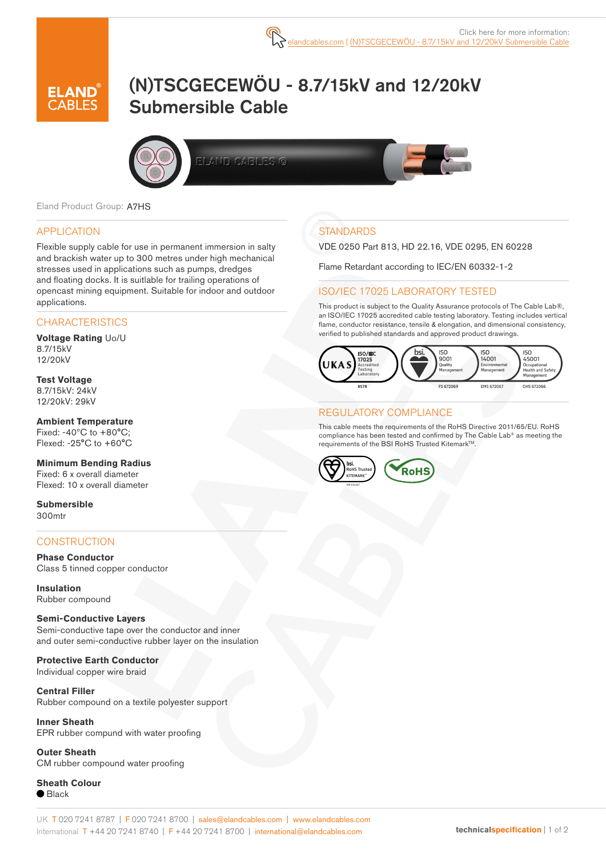

# (N)TSCGECEWÖU - 8.7/15kV and 12/20kV Submersible Cable



Eland Product Group: A7HS

#### APPLICATION

Flexible supply cable for use in permanent immersion in salty and brackish water up to 300 metres under high mechanical stresses used in applications such as pumps, dredges and floating docks. It is suitlable for trailing operations of opencast mining equipment. Suitable for indoor and outdoor applications.

#### **CHARACTERISTICS**

**Voltage Rating** Uo/U 8.7/15kV 12/20kV

**Test Voltage** 8.7/15kV: 24kV 12/20kV: 29kV

**Ambient Temperature** Fixed: -40ºC to +80°C; Flexed: -25°C to +60°C

**Minimum Bending Radius** Fixed: 6 x overall diameter Flexed: 10 x overall diameter

**Submersible** 300mtr

#### **CONSTRUCTION**

**Phase Conductor** Class 5 tinned copper conductor

**Insulation** Rubber compound

#### **Semi-Conductive Layers**

Semi-conductive tape over the conductor and inner and outer semi-conductive rubber layer on the insulation

**Protective Earth Conductor** Individual copper wire braid

**Central Filler** Rubber compound on a textile polyester support

**Inner Sheath** EPR rubber compund with water proofing

**Outer Sheath** CM rubber compound water proofing

**Sheath Colour** ● Black

### **STANDARDS**

VDE 0250 Part 813, HD 22.16, VDE 0295, EN 60228

Flame Retardant according to IEC/EN 60332-1-2

#### ISO/IEC 17025 LABORATORY TESTED

This product is subject to the Quality Assurance protocols of The Cable Lab®, an ISO/IEC 17025 accredited cable testing laboratory. Testing includes vertical flame, conductor resistance, tensile & elongation, and dimensional consistency, verified to published standards and approved product drawings.



#### REGULATORY COMPLIANCE

This cable meets the requirements of the RoHS Directive 2011/65/EU. RoHS compliance has been tested and confirmed by The Cable Lab® as meeting the requirements of the BSI RoHS Trusted Kitemark<sup>™</sup>.